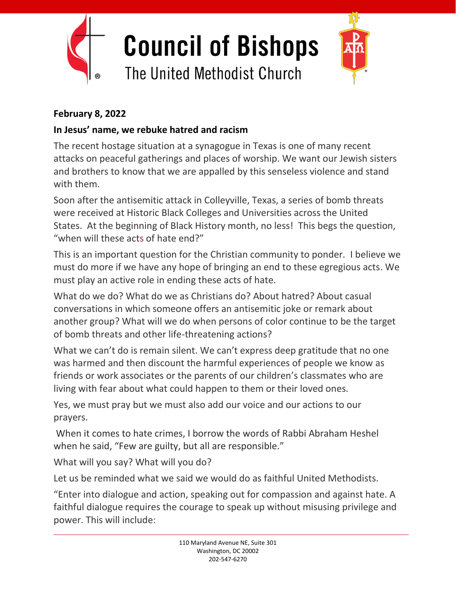

## **February 8, 2022**

## **In Jesus' name, we rebuke hatred and racism**

The recent hostage situation at a synagogue in Texas is one of many recent attacks on peaceful gatherings and places of worship. We want our Jewish sisters and brothers to know that we are appalled by this senseless violence and stand with them.

Soon after the antisemitic attack in Colleyville, Texas, a series of bomb threats were received at Historic Black Colleges and Universities across the United States. At the beginning of Black History month, no less! This begs the question, "when will these acts of hate end?"

This is an important question for the Christian community to ponder. I believe we must do more if we have any hope of bringing an end to these egregious acts. We must play an active role in ending these acts of hate.

What do we do? What do we as Christians do? About hatred? About casual conversations in which someone offers an antisemitic joke or remark about another group? What will we do when persons of color continue to be the target of bomb threats and other life-threatening actions?

What we can't do is remain silent. We can't express deep gratitude that no one was harmed and then discount the harmful experiences of people we know as friends or work associates or the parents of our children's classmates who are living with fear about what could happen to them or their loved ones.

Yes, we must pray but we must also add our voice and our actions to our prayers.

When it comes to hate crimes, I borrow the words of Rabbi Abraham Heshel when he said, "Few are guilty, but all are responsible."

What will you say? What will you do?

Let us be reminded what we said we would do as faithful United Methodists.

"Enter into dialogue and action, speaking out for compassion and against hate. A faithful dialogue requires the courage to speak up without misusing privilege and power. This will include: